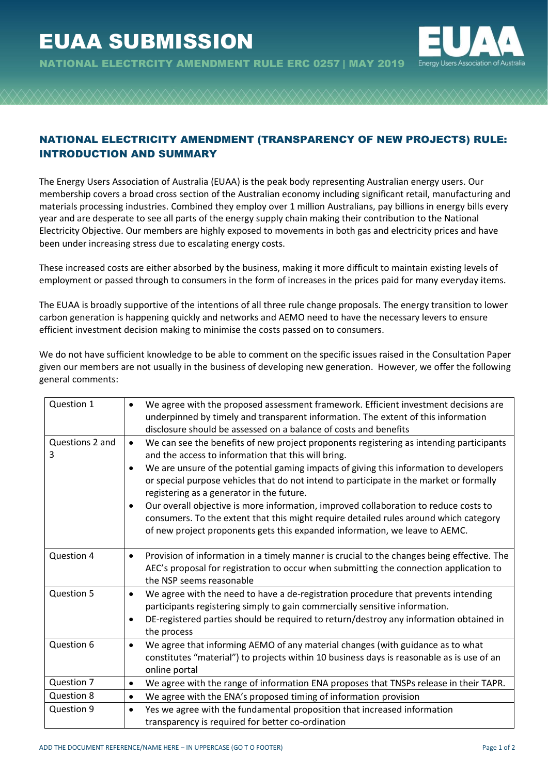

NATIONAL ELECTRCITY AMENDMENT RULE ERC 0257 | MAY 2019

## NATIONAL ELECTRICITY AMENDMENT (TRANSPARENCY OF NEW PROJECTS) RULE: INTRODUCTION AND SUMMARY

The Energy Users Association of Australia (EUAA) is the peak body representing Australian energy users. Our membership covers a broad cross section of the Australian economy including significant retail, manufacturing and materials processing industries. Combined they employ over 1 million Australians, pay billions in energy bills every year and are desperate to see all parts of the energy supply chain making their contribution to the National Electricity Objective. Our members are highly exposed to movements in both gas and electricity prices and have been under increasing stress due to escalating energy costs.

These increased costs are either absorbed by the business, making it more difficult to maintain existing levels of employment or passed through to consumers in the form of increases in the prices paid for many everyday items.

The EUAA is broadly supportive of the intentions of all three rule change proposals. The energy transition to lower carbon generation is happening quickly and networks and AEMO need to have the necessary levers to ensure efficient investment decision making to minimise the costs passed on to consumers.

| Question 1           | We agree with the proposed assessment framework. Efficient investment decisions are<br>$\bullet$<br>underpinned by timely and transparent information. The extent of this information<br>disclosure should be assessed on a balance of costs and benefits                                                                                                                                                                                                                                                                                                                                                                                                                       |
|----------------------|---------------------------------------------------------------------------------------------------------------------------------------------------------------------------------------------------------------------------------------------------------------------------------------------------------------------------------------------------------------------------------------------------------------------------------------------------------------------------------------------------------------------------------------------------------------------------------------------------------------------------------------------------------------------------------|
| Questions 2 and<br>3 | We can see the benefits of new project proponents registering as intending participants<br>$\bullet$<br>and the access to information that this will bring.<br>We are unsure of the potential gaming impacts of giving this information to developers<br>$\bullet$<br>or special purpose vehicles that do not intend to participate in the market or formally<br>registering as a generator in the future.<br>Our overall objective is more information, improved collaboration to reduce costs to<br>٠<br>consumers. To the extent that this might require detailed rules around which category<br>of new project proponents gets this expanded information, we leave to AEMC. |
| Question 4           | Provision of information in a timely manner is crucial to the changes being effective. The<br>$\bullet$<br>AEC's proposal for registration to occur when submitting the connection application to<br>the NSP seems reasonable                                                                                                                                                                                                                                                                                                                                                                                                                                                   |
| Question 5           | We agree with the need to have a de-registration procedure that prevents intending<br>$\bullet$<br>participants registering simply to gain commercially sensitive information.<br>DE-registered parties should be required to return/destroy any information obtained in<br>٠<br>the process                                                                                                                                                                                                                                                                                                                                                                                    |
| Question 6           | We agree that informing AEMO of any material changes (with guidance as to what<br>$\bullet$<br>constitutes "material") to projects within 10 business days is reasonable as is use of an<br>online portal                                                                                                                                                                                                                                                                                                                                                                                                                                                                       |
| Question 7           | We agree with the range of information ENA proposes that TNSPs release in their TAPR.<br>٠                                                                                                                                                                                                                                                                                                                                                                                                                                                                                                                                                                                      |
| Question 8           | We agree with the ENA's proposed timing of information provision<br>$\bullet$                                                                                                                                                                                                                                                                                                                                                                                                                                                                                                                                                                                                   |
| Question 9           | Yes we agree with the fundamental proposition that increased information<br>$\bullet$<br>transparency is required for better co-ordination                                                                                                                                                                                                                                                                                                                                                                                                                                                                                                                                      |

We do not have sufficient knowledge to be able to comment on the specific issues raised in the Consultation Paper given our members are not usually in the business of developing new generation. However, we offer the following general comments: